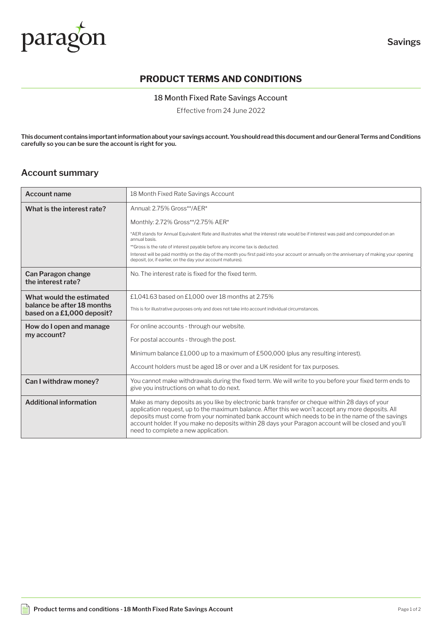

# **PRODUCT TERMS AND CONDITIONS**

#### 18 Month Fixed Rate Savings Account

Effective from 24 June 2022

**This document contains important information about your savings account. You should read this document and our General Terms and Conditions carefully so you can be sure the account is right for you.**

### **Account summary**

| <b>Account name</b>                                      | 18 Month Fixed Rate Savings Account                                                                                                                                                                                                                                                                                                                                                                                                                     |
|----------------------------------------------------------|---------------------------------------------------------------------------------------------------------------------------------------------------------------------------------------------------------------------------------------------------------------------------------------------------------------------------------------------------------------------------------------------------------------------------------------------------------|
| What is the interest rate?                               | Annual: 2.75% Gross**/AER*                                                                                                                                                                                                                                                                                                                                                                                                                              |
|                                                          | Monthly: 2.72% Gross**/2.75% AER*                                                                                                                                                                                                                                                                                                                                                                                                                       |
|                                                          | *AER stands for Annual Equivalent Rate and illustrates what the interest rate would be if interest was paid and compounded on an<br>annual basis.                                                                                                                                                                                                                                                                                                       |
|                                                          | **Gross is the rate of interest payable before any income tax is deducted.                                                                                                                                                                                                                                                                                                                                                                              |
|                                                          | Interest will be paid monthly on the day of the month you first paid into your account or annually on the anniversary of making your opening<br>deposit, (or, if earlier, on the day your account matures).                                                                                                                                                                                                                                             |
| Can Paragon change<br>the interest rate?                 | No. The interest rate is fixed for the fixed term.                                                                                                                                                                                                                                                                                                                                                                                                      |
| What would the estimated                                 | £1,041.63 based on £1,000 over 18 months at 2.75%                                                                                                                                                                                                                                                                                                                                                                                                       |
| balance be after 18 months<br>based on a £1,000 deposit? | This is for illustrative purposes only and does not take into account individual circumstances.                                                                                                                                                                                                                                                                                                                                                         |
| How do I open and manage<br>my account?                  | For online accounts - through our website.                                                                                                                                                                                                                                                                                                                                                                                                              |
|                                                          | For postal accounts - through the post.                                                                                                                                                                                                                                                                                                                                                                                                                 |
|                                                          | Minimum balance £1,000 up to a maximum of £500,000 (plus any resulting interest).                                                                                                                                                                                                                                                                                                                                                                       |
|                                                          | Account holders must be aged 18 or over and a UK resident for tax purposes.                                                                                                                                                                                                                                                                                                                                                                             |
| Can I withdraw money?                                    | You cannot make withdrawals during the fixed term. We will write to you before your fixed term ends to<br>give you instructions on what to do next.                                                                                                                                                                                                                                                                                                     |
| <b>Additional information</b>                            | Make as many deposits as you like by electronic bank transfer or cheque within 28 days of your<br>application request, up to the maximum balance. After this we won't accept any more deposits. All<br>deposits must come from your nominated bank account which needs to be in the name of the savings<br>account holder. If you make no deposits within 28 days your Paragon account will be closed and you'll<br>need to complete a new application. |